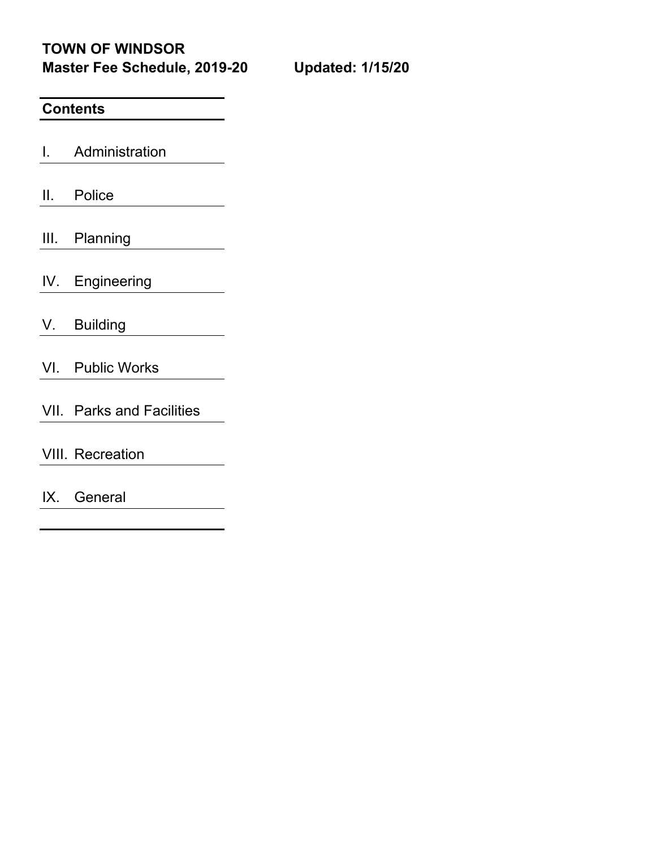**TOWN OF WINDSOR Master Fee Schedule, 2019-20 Updated: 1/15/20**

### **Contents**

I. Administration

II. Police

III. Planning

IV. Engineering

V. Building

- VI. Public Works
- VII. Parks and Facilities

VIII. Recreation

IX. General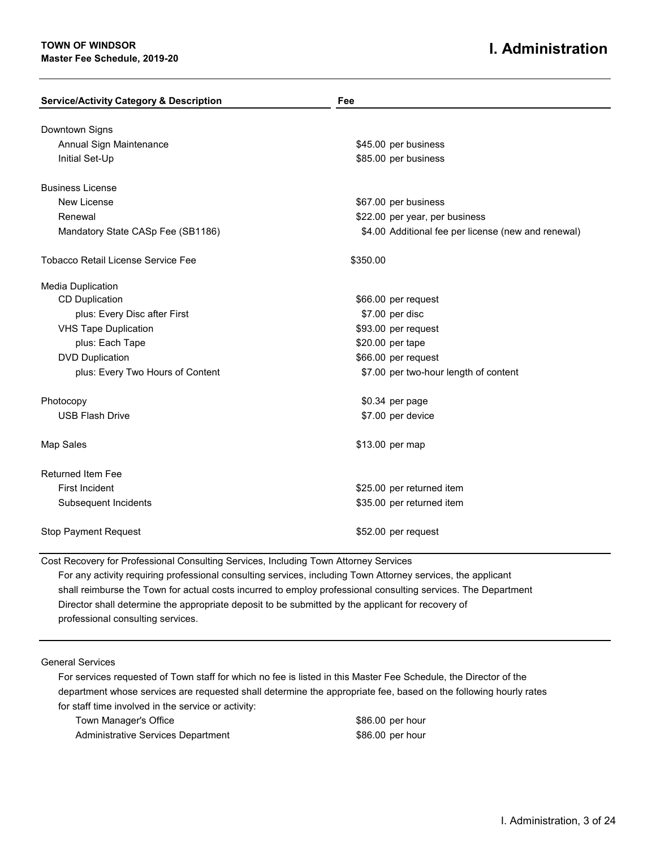#### **TOWN OF WINDSOR Master Fee Schedule, 2019-20**

### **I. Administration**

| <b>Service/Activity Category &amp; Description</b> | Fee                                                 |
|----------------------------------------------------|-----------------------------------------------------|
|                                                    |                                                     |
| Downtown Signs<br>Annual Sign Maintenance          | \$45.00 per business                                |
| Initial Set-Up                                     | \$85.00 per business                                |
| <b>Business License</b>                            |                                                     |
| New License                                        | \$67.00 per business                                |
| Renewal                                            | \$22.00 per year, per business                      |
| Mandatory State CASp Fee (SB1186)                  | \$4.00 Additional fee per license (new and renewal) |
| <b>Tobacco Retail License Service Fee</b>          | \$350.00                                            |
| Media Duplication                                  |                                                     |
| <b>CD Duplication</b>                              | \$66.00 per request                                 |
| plus: Every Disc after First                       | \$7.00 per disc                                     |
| <b>VHS Tape Duplication</b>                        | \$93.00 per request                                 |
| plus: Each Tape                                    | \$20.00 per tape                                    |
| <b>DVD Duplication</b>                             | \$66.00 per request                                 |
| plus: Every Two Hours of Content                   | \$7.00 per two-hour length of content               |
| Photocopy                                          | \$0.34 per page                                     |
| <b>USB Flash Drive</b>                             | \$7.00 per device                                   |
| Map Sales                                          | \$13.00 per map                                     |
| <b>Returned Item Fee</b>                           |                                                     |
| <b>First Incident</b>                              | \$25.00 per returned item                           |
| Subsequent Incidents                               | \$35.00 per returned item                           |
| <b>Stop Payment Request</b>                        | \$52.00 per request                                 |

Cost Recovery for Professional Consulting Services, Including Town Attorney Services

For any activity requiring professional consulting services, including Town Attorney services, the applicant shall reimburse the Town for actual costs incurred to employ professional consulting services. The Department Director shall determine the appropriate deposit to be submitted by the applicant for recovery of professional consulting services.

General Services

For services requested of Town staff for which no fee is listed in this Master Fee Schedule, the Director of the department whose services are requested shall determine the appropriate fee, based on the following hourly rates for staff time involved in the service or activity:

Town Manager's Office **\$86.00 per hour** Administrative Services Department **Administrative Services** Department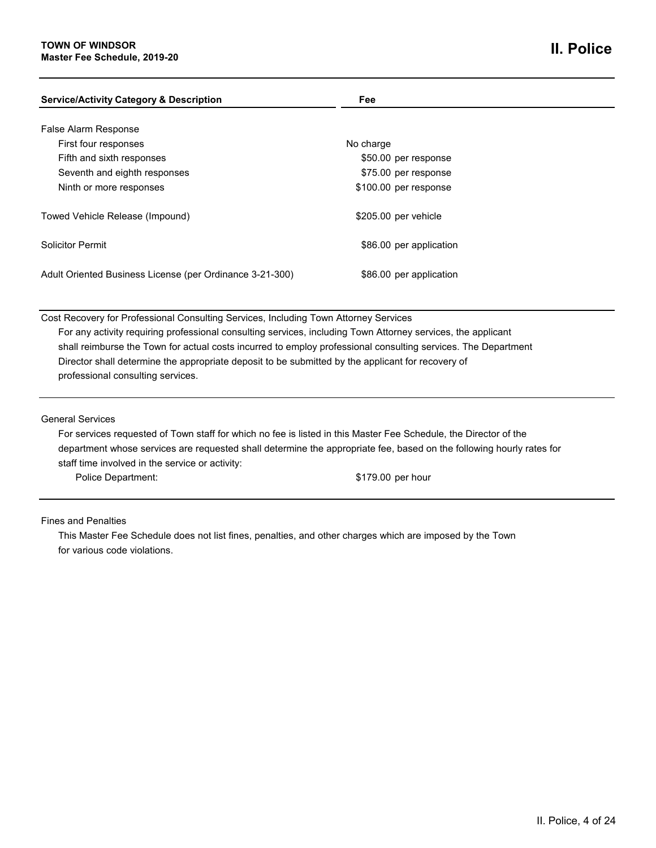| <b>Service/Activity Category &amp; Description</b>       | Fee                     |  |
|----------------------------------------------------------|-------------------------|--|
| False Alarm Response                                     |                         |  |
| First four responses                                     | No charge               |  |
| Fifth and sixth responses                                | \$50.00 per response    |  |
| Seventh and eighth responses                             | \$75.00 per response    |  |
| Ninth or more responses                                  | \$100.00 per response   |  |
| Towed Vehicle Release (Impound)                          | \$205.00 per vehicle    |  |
| <b>Solicitor Permit</b>                                  | \$86.00 per application |  |
| Adult Oriented Business License (per Ordinance 3-21-300) | \$86.00 per application |  |
|                                                          |                         |  |

Cost Recovery for Professional Consulting Services, Including Town Attorney Services For any activity requiring professional consulting services, including Town Attorney services, the applicant shall reimburse the Town for actual costs incurred to employ professional consulting services. The Department Director shall determine the appropriate deposit to be submitted by the applicant for recovery of professional consulting services.

General Services

For services requested of Town staff for which no fee is listed in this Master Fee Schedule, the Director of the department whose services are requested shall determine the appropriate fee, based on the following hourly rates for staff time involved in the service or activity: Police Department:  $$179.00$  per hour

Fines and Penalties

This Master Fee Schedule does not list fines, penalties, and other charges which are imposed by the Town for various code violations.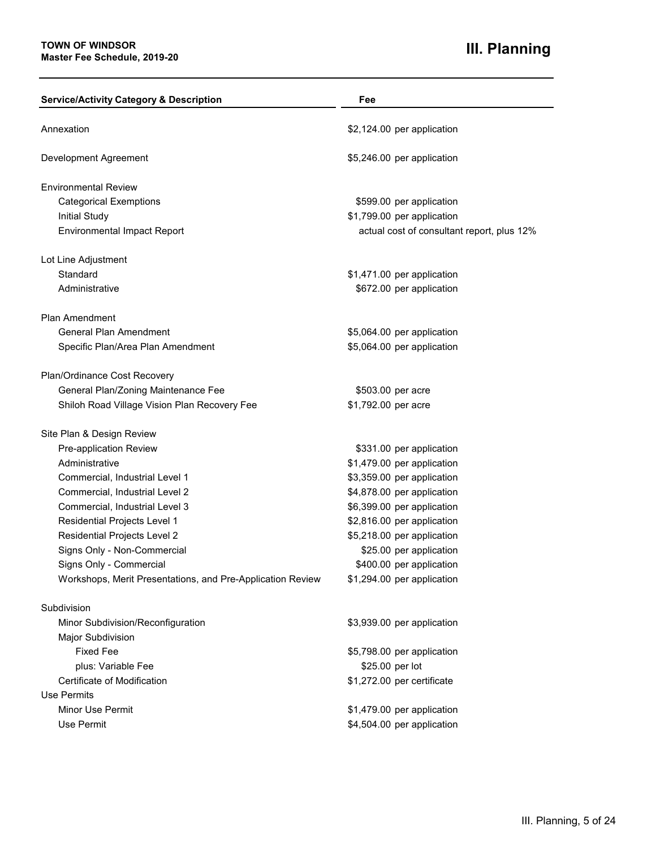# **III. Planning**

| <b>Service/Activity Category &amp; Description</b>         | Fee                                        |
|------------------------------------------------------------|--------------------------------------------|
| Annexation                                                 | \$2,124.00 per application                 |
| Development Agreement                                      | \$5,246.00 per application                 |
| <b>Environmental Review</b>                                |                                            |
| <b>Categorical Exemptions</b>                              | \$599.00 per application                   |
| <b>Initial Study</b>                                       | \$1,799.00 per application                 |
| <b>Environmental Impact Report</b>                         | actual cost of consultant report, plus 12% |
| Lot Line Adjustment                                        |                                            |
| Standard                                                   | \$1,471.00 per application                 |
| Administrative                                             | \$672.00 per application                   |
| <b>Plan Amendment</b>                                      |                                            |
| <b>General Plan Amendment</b>                              | \$5,064.00 per application                 |
| Specific Plan/Area Plan Amendment                          | \$5,064.00 per application                 |
| Plan/Ordinance Cost Recovery                               |                                            |
| General Plan/Zoning Maintenance Fee                        | \$503.00 per acre                          |
| Shiloh Road Village Vision Plan Recovery Fee               | \$1,792.00 per acre                        |
| Site Plan & Design Review                                  |                                            |
| Pre-application Review                                     | \$331.00 per application                   |
| Administrative                                             | \$1,479.00 per application                 |
| Commercial, Industrial Level 1                             | \$3,359.00 per application                 |
| Commercial, Industrial Level 2                             | \$4,878.00 per application                 |
| Commercial, Industrial Level 3                             | \$6,399.00 per application                 |
| Residential Projects Level 1                               | \$2,816.00 per application                 |
| <b>Residential Projects Level 2</b>                        | \$5,218.00 per application                 |
| Signs Only - Non-Commercial                                | \$25.00 per application                    |
| Signs Only - Commercial                                    | \$400.00 per application                   |
| Workshops, Merit Presentations, and Pre-Application Review | \$1,294.00 per application                 |
| Subdivision                                                |                                            |
| Minor Subdivision/Reconfiguration                          | \$3,939.00 per application                 |
| Major Subdivision                                          |                                            |
| <b>Fixed Fee</b>                                           | \$5,798.00 per application                 |
| plus: Variable Fee                                         | \$25.00 per lot                            |
| Certificate of Modification                                | \$1,272.00 per certificate                 |
| Use Permits                                                |                                            |
| Minor Use Permit                                           | \$1,479.00 per application                 |
| Use Permit                                                 | \$4,504.00 per application                 |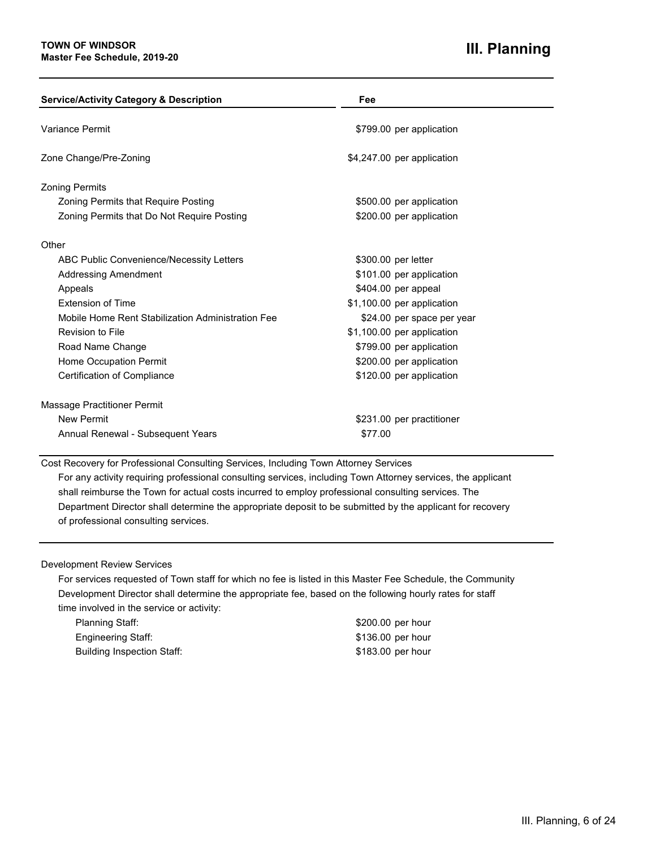| <b>Service/Activity Category &amp; Description</b> | Fee                        |
|----------------------------------------------------|----------------------------|
| Variance Permit                                    | \$799.00 per application   |
| Zone Change/Pre-Zoning                             | \$4,247.00 per application |
| <b>Zoning Permits</b>                              |                            |
| <b>Zoning Permits that Require Posting</b>         | \$500.00 per application   |
| Zoning Permits that Do Not Require Posting         | \$200.00 per application   |
| Other                                              |                            |
| ABC Public Convenience/Necessity Letters           | \$300.00 per letter        |
| <b>Addressing Amendment</b>                        | \$101.00 per application   |
| Appeals                                            | \$404.00 per appeal        |
| <b>Extension of Time</b>                           | \$1,100.00 per application |
| Mobile Home Rent Stabilization Administration Fee  | \$24.00 per space per year |
| Revision to File                                   | \$1,100.00 per application |
| Road Name Change                                   | \$799.00 per application   |
| Home Occupation Permit                             | \$200.00 per application   |
| <b>Certification of Compliance</b>                 | \$120.00 per application   |
| Massage Practitioner Permit                        |                            |
| <b>New Permit</b>                                  | \$231.00 per practitioner  |
| Annual Renewal - Subsequent Years                  | \$77.00                    |

Cost Recovery for Professional Consulting Services, Including Town Attorney Services

For any activity requiring professional consulting services, including Town Attorney services, the applicant shall reimburse the Town for actual costs incurred to employ professional consulting services. The Department Director shall determine the appropriate deposit to be submitted by the applicant for recovery of professional consulting services.

#### Development Review Services

For services requested of Town staff for which no fee is listed in this Master Fee Schedule, the Community Development Director shall determine the appropriate fee, based on the following hourly rates for staff time involved in the service or activity:

| Planning Staff:            | \$200.00 per hour |
|----------------------------|-------------------|
| Engineering Staff:         | \$136.00 per hour |
| Building Inspection Staff: | \$183.00 per hour |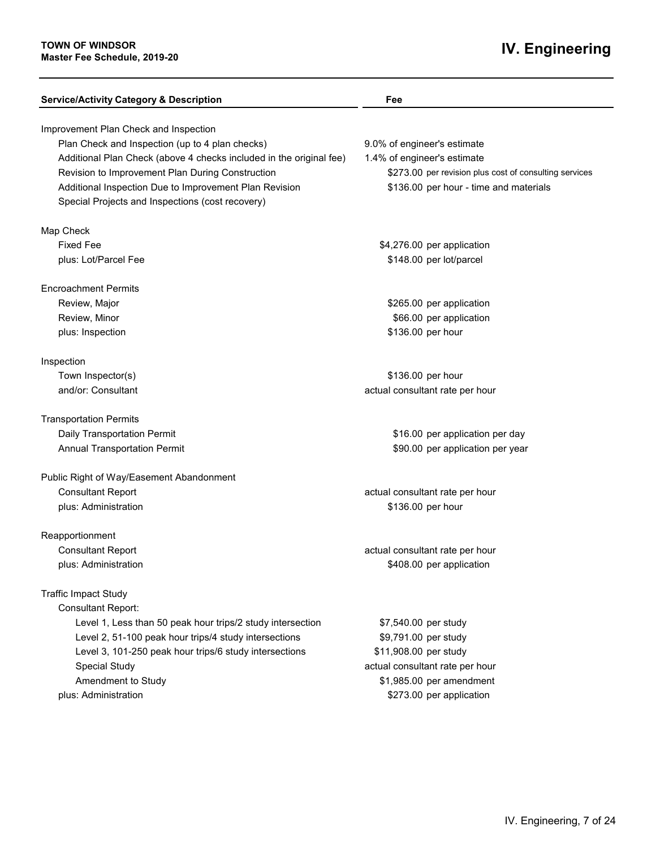# **IV. Engineering**

| <b>Service/Activity Category &amp; Description</b>                  | Fee                                                    |
|---------------------------------------------------------------------|--------------------------------------------------------|
| Improvement Plan Check and Inspection                               |                                                        |
| Plan Check and Inspection (up to 4 plan checks)                     | 9.0% of engineer's estimate                            |
| Additional Plan Check (above 4 checks included in the original fee) | 1.4% of engineer's estimate                            |
| Revision to Improvement Plan During Construction                    | \$273.00 per revision plus cost of consulting services |
| Additional Inspection Due to Improvement Plan Revision              | \$136.00 per hour - time and materials                 |
| Special Projects and Inspections (cost recovery)                    |                                                        |
| Map Check                                                           |                                                        |
| <b>Fixed Fee</b>                                                    | \$4,276.00 per application                             |
| plus: Lot/Parcel Fee                                                | \$148.00 per lot/parcel                                |
| <b>Encroachment Permits</b>                                         |                                                        |
| Review, Major                                                       | \$265.00 per application                               |
| Review, Minor                                                       | \$66.00 per application                                |
| plus: Inspection                                                    | \$136.00 per hour                                      |
| Inspection                                                          |                                                        |
| Town Inspector(s)                                                   | \$136.00 per hour                                      |
| and/or: Consultant                                                  | actual consultant rate per hour                        |
| <b>Transportation Permits</b>                                       |                                                        |
| Daily Transportation Permit                                         | \$16.00 per application per day                        |
| <b>Annual Transportation Permit</b>                                 | \$90.00 per application per year                       |
| Public Right of Way/Easement Abandonment                            |                                                        |
| <b>Consultant Report</b>                                            | actual consultant rate per hour                        |
| plus: Administration                                                | \$136.00 per hour                                      |
| Reapportionment                                                     |                                                        |
| <b>Consultant Report</b>                                            | actual consultant rate per hour                        |
| plus: Administration                                                | \$408.00 per application                               |
| <b>Traffic Impact Study</b>                                         |                                                        |
| <b>Consultant Report:</b>                                           |                                                        |
| Level 1, Less than 50 peak hour trips/2 study intersection          | \$7,540.00 per study                                   |
| Level 2, 51-100 peak hour trips/4 study intersections               | \$9,791.00 per study                                   |
| Level 3, 101-250 peak hour trips/6 study intersections              | \$11,908.00 per study                                  |
| <b>Special Study</b>                                                | actual consultant rate per hour                        |
| Amendment to Study                                                  | \$1,985.00 per amendment                               |
| plus: Administration                                                | \$273.00 per application                               |
|                                                                     |                                                        |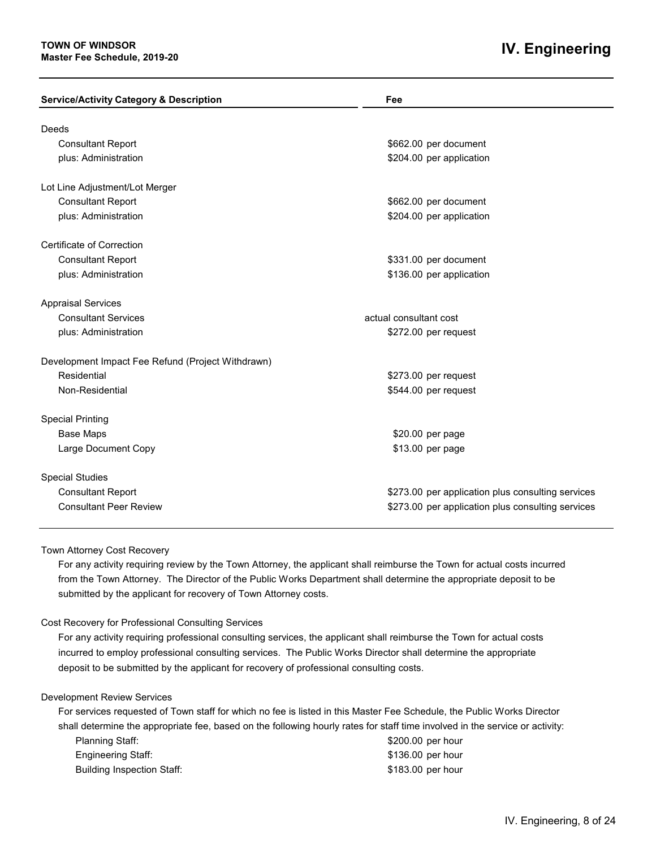### **IV. Engineering**

| <b>Service/Activity Category &amp; Description</b> | Fee                                               |
|----------------------------------------------------|---------------------------------------------------|
|                                                    |                                                   |
| Deeds                                              |                                                   |
| <b>Consultant Report</b>                           | \$662.00 per document                             |
| plus: Administration                               | \$204.00 per application                          |
| Lot Line Adjustment/Lot Merger                     |                                                   |
| <b>Consultant Report</b>                           | \$662.00 per document                             |
| plus: Administration                               | \$204.00 per application                          |
| Certificate of Correction                          |                                                   |
| <b>Consultant Report</b>                           | \$331.00 per document                             |
| plus: Administration                               | \$136.00 per application                          |
| <b>Appraisal Services</b>                          |                                                   |
| <b>Consultant Services</b>                         | actual consultant cost                            |
| plus: Administration                               | \$272.00 per request                              |
| Development Impact Fee Refund (Project Withdrawn)  |                                                   |
| Residential                                        | \$273.00 per request                              |
| Non-Residential                                    | \$544.00 per request                              |
| <b>Special Printing</b>                            |                                                   |
| <b>Base Maps</b>                                   | \$20.00 per page                                  |
| Large Document Copy                                | \$13.00 per page                                  |
| <b>Special Studies</b>                             |                                                   |
| <b>Consultant Report</b>                           | \$273.00 per application plus consulting services |
| <b>Consultant Peer Review</b>                      | \$273.00 per application plus consulting services |

#### Town Attorney Cost Recovery

For any activity requiring review by the Town Attorney, the applicant shall reimburse the Town for actual costs incurred from the Town Attorney. The Director of the Public Works Department shall determine the appropriate deposit to be submitted by the applicant for recovery of Town Attorney costs.

#### Cost Recovery for Professional Consulting Services

For any activity requiring professional consulting services, the applicant shall reimburse the Town for actual costs incurred to employ professional consulting services. The Public Works Director shall determine the appropriate deposit to be submitted by the applicant for recovery of professional consulting costs.

#### Development Review Services

For services requested of Town staff for which no fee is listed in this Master Fee Schedule, the Public Works Director shall determine the appropriate fee, based on the following hourly rates for staff time involved in the service or activity:

| Planning Staff:            | \$200.00 per hour |  |
|----------------------------|-------------------|--|
| Engineering Staff:         | \$136.00 per hour |  |
| Building Inspection Staff: | \$183.00 per hour |  |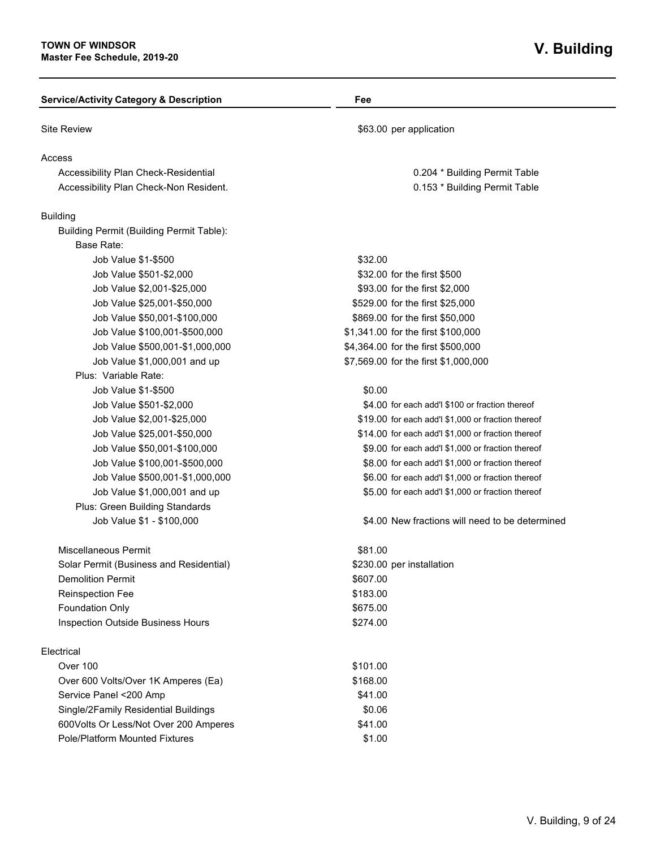| <b>Service/Activity Category &amp; Description</b> | Fee                                                |
|----------------------------------------------------|----------------------------------------------------|
| <b>Site Review</b>                                 | \$63.00 per application                            |
| Access                                             |                                                    |
| Accessibility Plan Check-Residential               | 0.204 * Building Permit Table                      |
| Accessibility Plan Check-Non Resident.             | 0.153 * Building Permit Table                      |
| <b>Building</b>                                    |                                                    |
| Building Permit (Building Permit Table):           |                                                    |
| Base Rate:                                         |                                                    |
| Job Value \$1-\$500                                | \$32.00                                            |
| Job Value \$501-\$2,000                            | \$32.00 for the first \$500                        |
| Job Value \$2,001-\$25,000                         | \$93.00 for the first \$2,000                      |
| Job Value \$25,001-\$50,000                        | \$529.00 for the first \$25,000                    |
| Job Value \$50,001-\$100,000                       | \$869.00 for the first \$50,000                    |
| Job Value \$100,001-\$500,000                      | \$1,341.00 for the first \$100,000                 |
| Job Value \$500,001-\$1,000,000                    | \$4,364.00 for the first \$500,000                 |
| Job Value \$1,000,001 and up                       | \$7,569.00 for the first \$1,000,000               |
| Plus: Variable Rate:                               |                                                    |
| Job Value \$1-\$500                                | \$0.00                                             |
| Job Value \$501-\$2,000                            | \$4.00 for each add'l \$100 or fraction thereof    |
| Job Value \$2,001-\$25,000                         | \$19.00 for each add'l \$1,000 or fraction thereof |
| Job Value \$25,001-\$50,000                        | \$14.00 for each add'l \$1,000 or fraction thereof |
| Job Value \$50,001-\$100,000                       | \$9.00 for each add'l \$1,000 or fraction thereof  |
| Job Value \$100,001-\$500,000                      | \$8.00 for each add'l \$1,000 or fraction thereof  |
| Job Value \$500,001-\$1,000,000                    | \$6.00 for each add'l \$1,000 or fraction thereof  |
| Job Value \$1,000,001 and up                       | \$5.00 for each add'l \$1,000 or fraction thereof  |
| Plus: Green Building Standards                     |                                                    |
| Job Value \$1 - \$100,000                          | \$4.00 New fractions will need to be determined    |
| Miscellaneous Permit                               | \$81.00                                            |
| Solar Permit (Business and Residential)            | \$230.00 per installation                          |
| <b>Demolition Permit</b>                           | \$607.00                                           |
| Reinspection Fee                                   | \$183.00                                           |
| <b>Foundation Only</b>                             | \$675.00                                           |
| <b>Inspection Outside Business Hours</b>           | \$274.00                                           |
| Electrical                                         |                                                    |
| Over 100                                           | \$101.00                                           |
| Over 600 Volts/Over 1K Amperes (Ea)                | \$168.00                                           |
| Service Panel <200 Amp                             | \$41.00                                            |
| Single/2Family Residential Buildings               | \$0.06                                             |
| 600Volts Or Less/Not Over 200 Amperes              | \$41.00                                            |
| <b>Pole/Platform Mounted Fixtures</b>              | \$1.00                                             |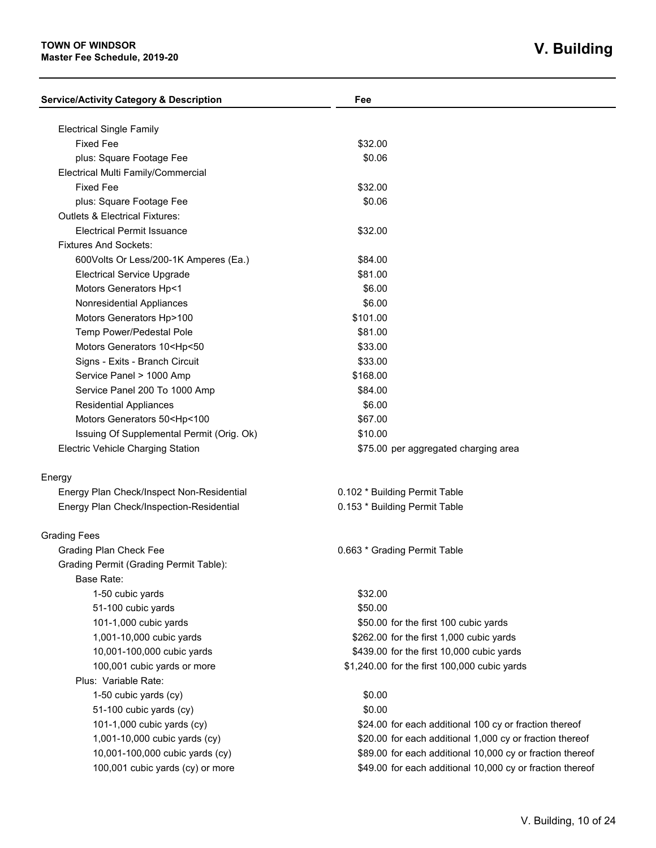### **TOWN OF WINDSOR Master Fee Schedule, 2019-20**

| <b>Service/Activity Category &amp; Description</b>             | Fee                                                       |
|----------------------------------------------------------------|-----------------------------------------------------------|
|                                                                |                                                           |
| <b>Electrical Single Family</b><br><b>Fixed Fee</b>            | \$32.00                                                   |
|                                                                | \$0.06                                                    |
| plus: Square Footage Fee                                       |                                                           |
| Electrical Multi Family/Commercial                             |                                                           |
| <b>Fixed Fee</b>                                               | \$32.00                                                   |
| plus: Square Footage Fee                                       | \$0.06                                                    |
| <b>Outlets &amp; Electrical Fixtures:</b>                      |                                                           |
| <b>Electrical Permit Issuance</b>                              | \$32.00                                                   |
| <b>Fixtures And Sockets:</b>                                   |                                                           |
| 600Volts Or Less/200-1K Amperes (Ea.)                          | \$84.00                                                   |
| <b>Electrical Service Upgrade</b>                              | \$81.00                                                   |
| Motors Generators Hp<1                                         | \$6.00                                                    |
| Nonresidential Appliances                                      | \$6.00                                                    |
| Motors Generators Hp>100                                       | \$101.00                                                  |
| Temp Power/Pedestal Pole                                       | \$81.00                                                   |
| Motors Generators 10 <hp<50< td=""><td>\$33.00</td></hp<50<>   | \$33.00                                                   |
| Signs - Exits - Branch Circuit                                 | \$33.00                                                   |
| Service Panel > 1000 Amp                                       | \$168.00                                                  |
| Service Panel 200 To 1000 Amp                                  | \$84.00                                                   |
| <b>Residential Appliances</b>                                  | \$6.00                                                    |
| Motors Generators 50 <hp<100< td=""><td>\$67.00</td></hp<100<> | \$67.00                                                   |
| Issuing Of Supplemental Permit (Orig. Ok)                      | \$10.00                                                   |
| Electric Vehicle Charging Station                              | \$75.00 per aggregated charging area                      |
| Energy                                                         |                                                           |
| Energy Plan Check/Inspect Non-Residential                      | 0.102 * Building Permit Table                             |
| Energy Plan Check/Inspection-Residential                       | 0.153 * Building Permit Table                             |
| <b>Grading Fees</b>                                            |                                                           |
| <b>Grading Plan Check Fee</b>                                  | 0.663 * Grading Permit Table                              |
| <b>Grading Permit (Grading Permit Table):</b>                  |                                                           |
| <b>Base Rate:</b>                                              |                                                           |
| 1-50 cubic yards                                               | \$32.00                                                   |
| 51-100 cubic yards                                             | \$50.00                                                   |
| 101-1,000 cubic yards                                          | \$50.00 for the first 100 cubic yards                     |
| 1,001-10,000 cubic yards                                       | \$262.00 for the first 1,000 cubic yards                  |
| 10,001-100,000 cubic yards                                     | \$439.00 for the first 10,000 cubic yards                 |
| 100,001 cubic yards or more                                    | \$1,240.00 for the first 100,000 cubic yards              |
| Plus: Variable Rate:                                           |                                                           |
| 1-50 cubic yards (cy)                                          | \$0.00                                                    |
| 51-100 cubic yards (cy)                                        | \$0.00                                                    |
| 101-1,000 cubic yards (cy)                                     | \$24.00 for each additional 100 cy or fraction thereof    |
| 1,001-10,000 cubic yards (cy)                                  | \$20.00 for each additional 1,000 cy or fraction thereof  |
| 10,001-100,000 cubic yards (cy)                                | \$89.00 for each additional 10,000 cy or fraction thereof |
|                                                                |                                                           |
| 100,001 cubic yards (cy) or more                               | \$49.00 for each additional 10,000 cy or fraction thereof |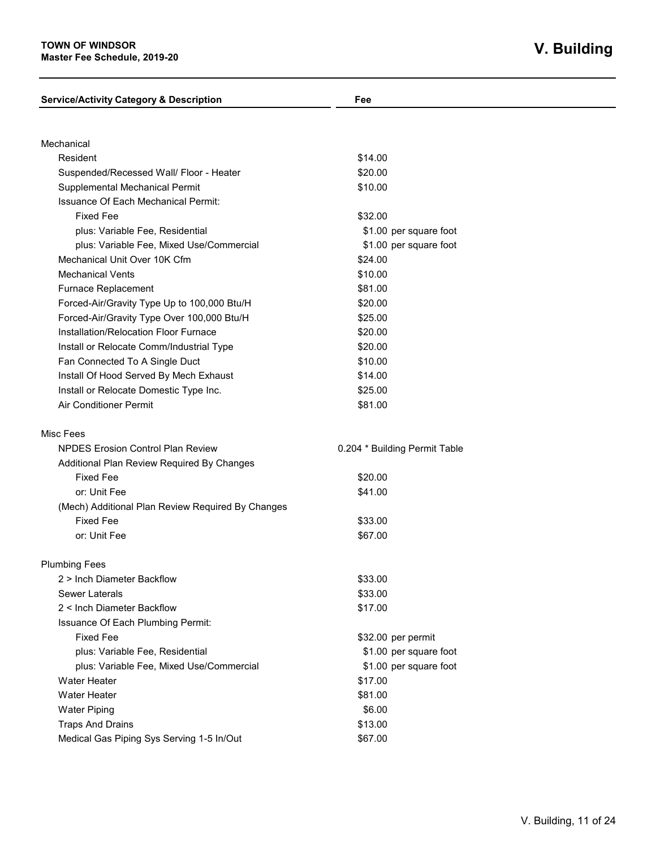# **V. Building**

| <b>Service/Activity Category &amp; Description</b> | Fee                           |
|----------------------------------------------------|-------------------------------|
|                                                    |                               |
| Mechanical                                         |                               |
| Resident                                           | \$14.00                       |
| Suspended/Recessed Wall/ Floor - Heater            | \$20.00                       |
| Supplemental Mechanical Permit                     | \$10.00                       |
| <b>Issuance Of Each Mechanical Permit:</b>         |                               |
| <b>Fixed Fee</b>                                   | \$32.00                       |
| plus: Variable Fee, Residential                    | \$1.00 per square foot        |
| plus: Variable Fee, Mixed Use/Commercial           | \$1.00 per square foot        |
| Mechanical Unit Over 10K Cfm                       | \$24.00                       |
| <b>Mechanical Vents</b>                            | \$10.00                       |
| Furnace Replacement                                | \$81.00                       |
| Forced-Air/Gravity Type Up to 100,000 Btu/H        | \$20.00                       |
| Forced-Air/Gravity Type Over 100,000 Btu/H         | \$25.00                       |
| Installation/Relocation Floor Furnace              | \$20.00                       |
| Install or Relocate Comm/Industrial Type           | \$20.00                       |
| Fan Connected To A Single Duct                     | \$10.00                       |
| Install Of Hood Served By Mech Exhaust             | \$14.00                       |
| Install or Relocate Domestic Type Inc.             | \$25.00                       |
| Air Conditioner Permit                             | \$81.00                       |
| Misc Fees                                          |                               |
| <b>NPDES Erosion Control Plan Review</b>           | 0.204 * Building Permit Table |
| Additional Plan Review Required By Changes         |                               |
| <b>Fixed Fee</b>                                   | \$20.00                       |
| or: Unit Fee                                       | \$41.00                       |
| (Mech) Additional Plan Review Required By Changes  |                               |
| <b>Fixed Fee</b>                                   | \$33.00                       |
| or: Unit Fee                                       | \$67.00                       |
| <b>Plumbing Fees</b>                               |                               |
| 2 > Inch Diameter Backflow                         | \$33.00                       |
| <b>Sewer Laterals</b>                              | \$33.00                       |
| 2 < Inch Diameter Backflow                         | \$17.00                       |
| Issuance Of Each Plumbing Permit:                  |                               |
| <b>Fixed Fee</b>                                   | \$32.00 per permit            |
| plus: Variable Fee, Residential                    | \$1.00 per square foot        |
| plus: Variable Fee, Mixed Use/Commercial           | \$1.00 per square foot        |
| <b>Water Heater</b>                                | \$17.00                       |
| <b>Water Heater</b>                                | \$81.00                       |
| <b>Water Piping</b>                                | \$6.00                        |
| <b>Traps And Drains</b>                            | \$13.00                       |
| Medical Gas Piping Sys Serving 1-5 In/Out          | \$67.00                       |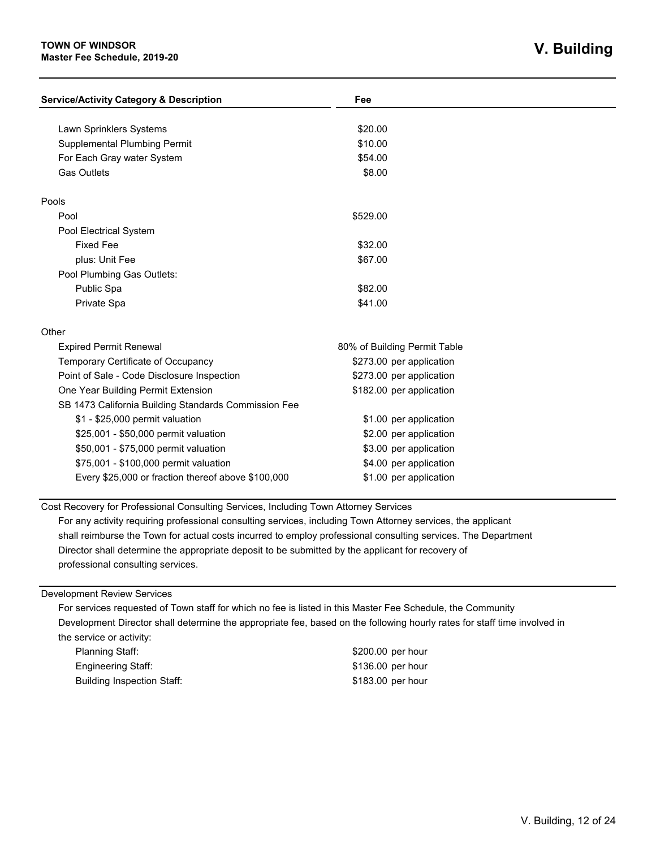#### **TOWN OF WINDSOR Master Fee Schedule, 2019-20**

| <b>Service/Activity Category &amp; Description</b>   | Fee                          |  |
|------------------------------------------------------|------------------------------|--|
|                                                      |                              |  |
| Lawn Sprinklers Systems                              | \$20.00                      |  |
| <b>Supplemental Plumbing Permit</b>                  | \$10.00                      |  |
| For Each Gray water System                           | \$54.00                      |  |
| <b>Gas Outlets</b>                                   | \$8.00                       |  |
| Pools                                                |                              |  |
| Pool                                                 | \$529.00                     |  |
| Pool Electrical System                               |                              |  |
| <b>Fixed Fee</b>                                     | \$32.00                      |  |
| plus: Unit Fee                                       | \$67.00                      |  |
| Pool Plumbing Gas Outlets:                           |                              |  |
| Public Spa                                           | \$82.00                      |  |
| Private Spa                                          | \$41.00                      |  |
| Other                                                |                              |  |
| <b>Expired Permit Renewal</b>                        | 80% of Building Permit Table |  |
| Temporary Certificate of Occupancy                   | \$273.00 per application     |  |
| Point of Sale - Code Disclosure Inspection           | \$273.00 per application     |  |
| One Year Building Permit Extension                   | \$182.00 per application     |  |
| SB 1473 California Building Standards Commission Fee |                              |  |
| \$1 - \$25,000 permit valuation                      | \$1.00 per application       |  |
| \$25,001 - \$50,000 permit valuation                 | \$2.00 per application       |  |
| \$50,001 - \$75,000 permit valuation                 | \$3.00 per application       |  |
| \$75,001 - \$100,000 permit valuation                | \$4.00 per application       |  |
| Every \$25,000 or fraction thereof above \$100,000   | \$1.00 per application       |  |

Cost Recovery for Professional Consulting Services, Including Town Attorney Services

For any activity requiring professional consulting services, including Town Attorney services, the applicant shall reimburse the Town for actual costs incurred to employ professional consulting services. The Department Director shall determine the appropriate deposit to be submitted by the applicant for recovery of professional consulting services.

Development Review Services

For services requested of Town staff for which no fee is listed in this Master Fee Schedule, the Community Development Director shall determine the appropriate fee, based on the following hourly rates for staff time involved in the service or activity:

Planning Staff:  $$200.00$  per hour Engineering Staff:  $$136.00$  per hour Building Inspection Staff:  $$183.00$  per hour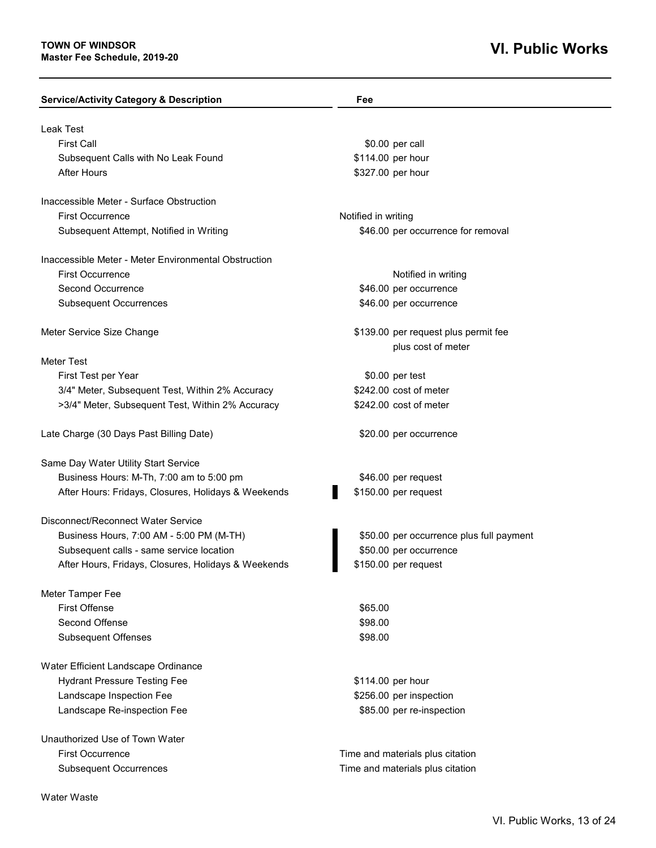### **VI. Public Works**

| <b>Service/Activity Category &amp; Description</b>   | Fee                                      |
|------------------------------------------------------|------------------------------------------|
| <b>Leak Test</b>                                     |                                          |
| <b>First Call</b>                                    | \$0.00 per call                          |
| Subsequent Calls with No Leak Found                  | \$114.00 per hour                        |
| <b>After Hours</b>                                   | \$327.00 per hour                        |
|                                                      |                                          |
| Inaccessible Meter - Surface Obstruction             |                                          |
| First Occurrence                                     | Notified in writing                      |
| Subsequent Attempt, Notified in Writing              | \$46.00 per occurrence for removal       |
| Inaccessible Meter - Meter Environmental Obstruction |                                          |
| <b>First Occurrence</b>                              | Notified in writing                      |
| Second Occurrence                                    | \$46.00 per occurrence                   |
| <b>Subsequent Occurrences</b>                        | \$46.00 per occurrence                   |
|                                                      |                                          |
| Meter Service Size Change                            | \$139.00 per request plus permit fee     |
|                                                      | plus cost of meter                       |
| <b>Meter Test</b>                                    |                                          |
| First Test per Year                                  | \$0.00 per test                          |
| 3/4" Meter, Subsequent Test, Within 2% Accuracy      | \$242.00 cost of meter                   |
| >3/4" Meter, Subsequent Test, Within 2% Accuracy     | \$242.00 cost of meter                   |
| Late Charge (30 Days Past Billing Date)              | \$20.00 per occurrence                   |
| Same Day Water Utility Start Service                 |                                          |
| Business Hours: M-Th, 7:00 am to 5:00 pm             | \$46.00 per request                      |
| After Hours: Fridays, Closures, Holidays & Weekends  | \$150.00 per request                     |
|                                                      |                                          |
| Disconnect/Reconnect Water Service                   |                                          |
| Business Hours, 7:00 AM - 5:00 PM (M-TH)             | \$50.00 per occurrence plus full payment |
| Subsequent calls - same service location             | \$50.00 per occurrence                   |
| After Hours, Fridays, Closures, Holidays & Weekends  | \$150.00 per request                     |
| Meter Tamper Fee                                     |                                          |
| <b>First Offense</b>                                 | \$65.00                                  |
| Second Offense                                       | \$98.00                                  |
| <b>Subsequent Offenses</b>                           | \$98.00                                  |
| Water Efficient Landscape Ordinance                  |                                          |
| <b>Hydrant Pressure Testing Fee</b>                  | \$114.00 per hour                        |
| Landscape Inspection Fee                             | \$256.00 per inspection                  |
| Landscape Re-inspection Fee                          | \$85.00 per re-inspection                |
| Unauthorized Use of Town Water                       |                                          |
| <b>First Occurrence</b>                              | Time and materials plus citation         |
| <b>Subsequent Occurrences</b>                        | Time and materials plus citation         |
|                                                      |                                          |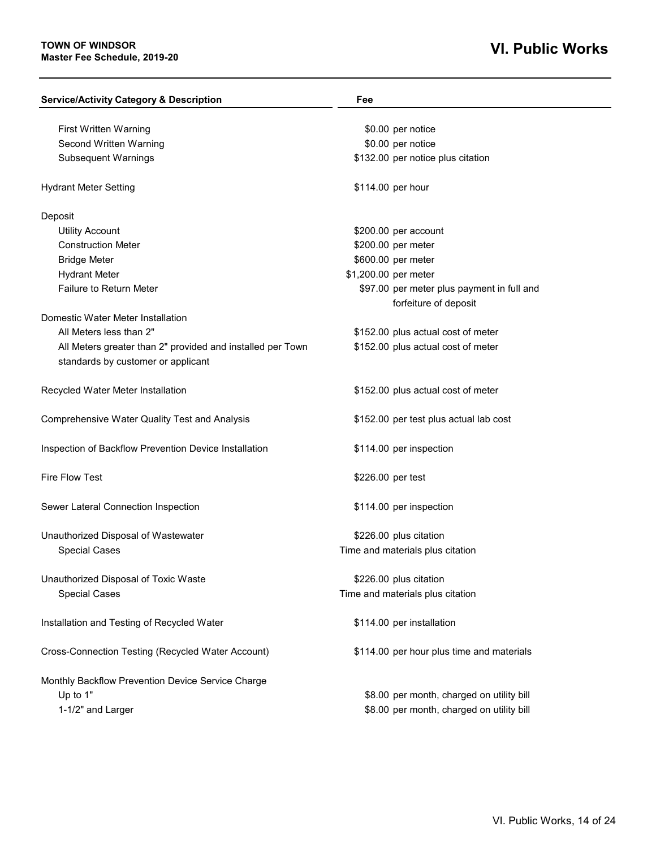| <b>Service/Activity Category &amp; Description</b>         | Fee                                        |
|------------------------------------------------------------|--------------------------------------------|
| First Written Warning                                      | \$0.00 per notice                          |
| Second Written Warning                                     | \$0.00 per notice                          |
| <b>Subsequent Warnings</b>                                 | \$132.00 per notice plus citation          |
| <b>Hydrant Meter Setting</b>                               | \$114.00 per hour                          |
| Deposit                                                    |                                            |
| <b>Utility Account</b>                                     | \$200.00 per account                       |
| <b>Construction Meter</b>                                  | \$200.00 per meter                         |
| <b>Bridge Meter</b>                                        | \$600.00 per meter                         |
| <b>Hydrant Meter</b>                                       | \$1,200.00 per meter                       |
| Failure to Return Meter                                    | \$97.00 per meter plus payment in full and |
|                                                            | forfeiture of deposit                      |
| Domestic Water Meter Installation                          |                                            |
| All Meters less than 2"                                    | \$152.00 plus actual cost of meter         |
| All Meters greater than 2" provided and installed per Town | \$152.00 plus actual cost of meter         |
| standards by customer or applicant                         |                                            |
| Recycled Water Meter Installation                          | \$152.00 plus actual cost of meter         |
| <b>Comprehensive Water Quality Test and Analysis</b>       | \$152.00 per test plus actual lab cost     |
| Inspection of Backflow Prevention Device Installation      | \$114.00 per inspection                    |
| <b>Fire Flow Test</b>                                      | \$226.00 per test                          |
| Sewer Lateral Connection Inspection                        | \$114.00 per inspection                    |
| Unauthorized Disposal of Wastewater                        | \$226.00 plus citation                     |
| <b>Special Cases</b>                                       | Time and materials plus citation           |
| Unauthorized Disposal of Toxic Waste                       | \$226.00 plus citation                     |
| <b>Special Cases</b>                                       | Time and materials plus citation           |
|                                                            |                                            |
| Installation and Testing of Recycled Water                 | \$114.00 per installation                  |
| Cross-Connection Testing (Recycled Water Account)          | \$114.00 per hour plus time and materials  |
|                                                            |                                            |
| Monthly Backflow Prevention Device Service Charge          |                                            |
| Up to 1"                                                   | \$8.00 per month, charged on utility bill  |
| 1-1/2" and Larger                                          | \$8.00 per month, charged on utility bill  |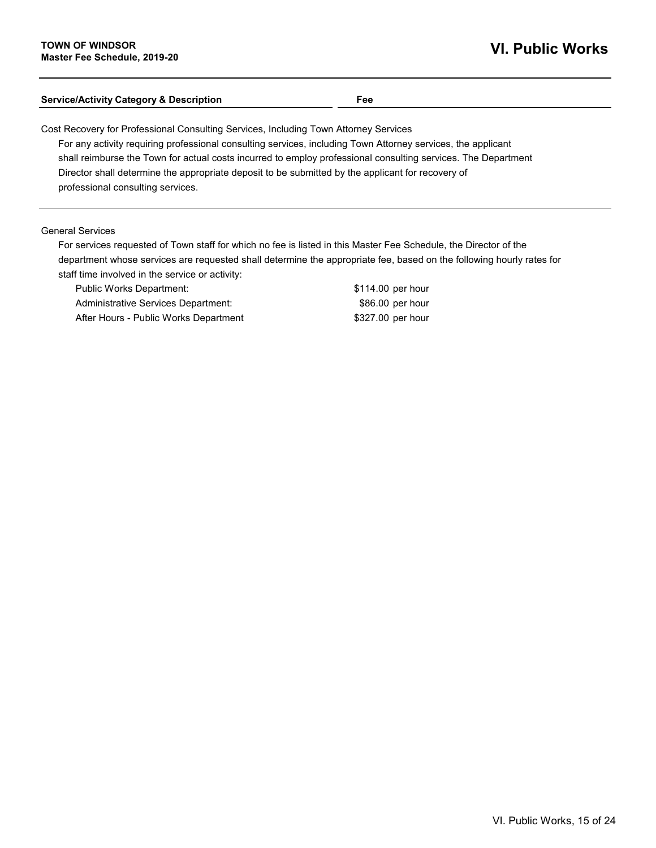### **Service/Activity Category & Description Fee**

Cost Recovery for Professional Consulting Services, Including Town Attorney Services

For any activity requiring professional consulting services, including Town Attorney services, the applicant shall reimburse the Town for actual costs incurred to employ professional consulting services. The Department Director shall determine the appropriate deposit to be submitted by the applicant for recovery of professional consulting services.

General Services

For services requested of Town staff for which no fee is listed in this Master Fee Schedule, the Director of the department whose services are requested shall determine the appropriate fee, based on the following hourly rates for staff time involved in the service or activity:

Public Works Department:  $$114.00$  per hour Administrative Services Department: <br>\$86.00 per hour After Hours - Public Works Department \$327.00 per hour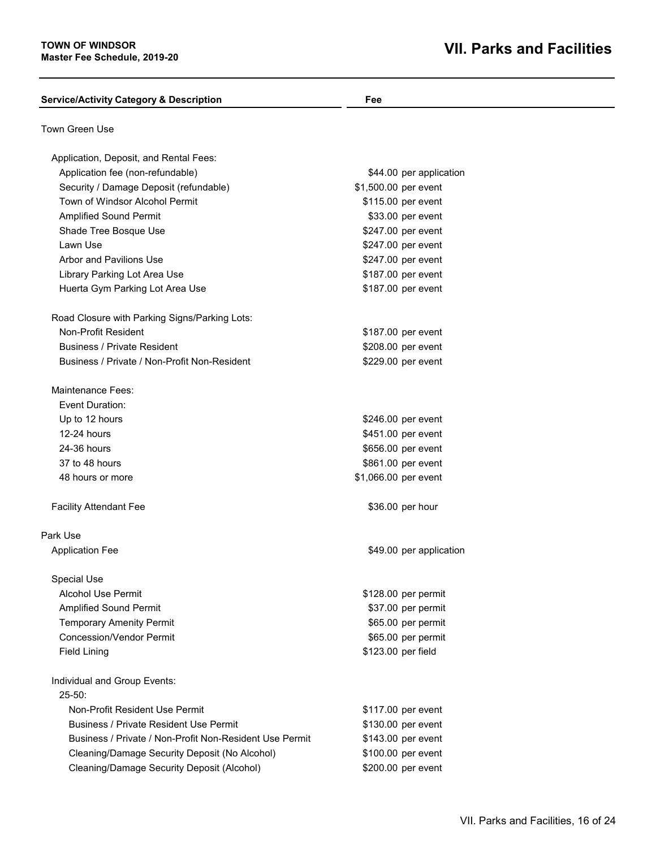| <b>Service/Activity Category &amp; Description</b>      | Fee                     |  |
|---------------------------------------------------------|-------------------------|--|
| Town Green Use                                          |                         |  |
| Application, Deposit, and Rental Fees:                  |                         |  |
| Application fee (non-refundable)                        | \$44.00 per application |  |
| Security / Damage Deposit (refundable)                  | \$1,500.00 per event    |  |
| Town of Windsor Alcohol Permit                          | \$115.00 per event      |  |
| <b>Amplified Sound Permit</b>                           | \$33.00 per event       |  |
| Shade Tree Bosque Use                                   | \$247.00 per event      |  |
| Lawn Use                                                | \$247.00 per event      |  |
| Arbor and Pavilions Use                                 | \$247.00 per event      |  |
| Library Parking Lot Area Use                            | \$187.00 per event      |  |
| Huerta Gym Parking Lot Area Use                         | \$187.00 per event      |  |
| Road Closure with Parking Signs/Parking Lots:           |                         |  |
| Non-Profit Resident                                     | \$187.00 per event      |  |
| <b>Business / Private Resident</b>                      | \$208.00 per event      |  |
| Business / Private / Non-Profit Non-Resident            | \$229.00 per event      |  |
| Maintenance Fees:                                       |                         |  |
| Event Duration:                                         |                         |  |
| Up to 12 hours                                          | \$246.00 per event      |  |
| 12-24 hours                                             | \$451.00 per event      |  |
| 24-36 hours                                             | \$656.00 per event      |  |
| 37 to 48 hours                                          | \$861.00 per event      |  |
| 48 hours or more                                        | \$1,066.00 per event    |  |
| <b>Facility Attendant Fee</b>                           | \$36.00 per hour        |  |
| Park Use                                                |                         |  |
| <b>Application Fee</b>                                  | \$49.00 per application |  |
| <b>Special Use</b>                                      |                         |  |
| <b>Alcohol Use Permit</b>                               | \$128.00 per permit     |  |
| <b>Amplified Sound Permit</b>                           | \$37.00 per permit      |  |
| <b>Temporary Amenity Permit</b>                         | \$65.00 per permit      |  |
| <b>Concession/Vendor Permit</b>                         | \$65.00 per permit      |  |
| <b>Field Lining</b>                                     | \$123.00 per field      |  |
| Individual and Group Events:                            |                         |  |
| $25 - 50$ :                                             |                         |  |
| Non-Profit Resident Use Permit                          | \$117.00 per event      |  |
| <b>Business / Private Resident Use Permit</b>           | \$130.00 per event      |  |
| Business / Private / Non-Profit Non-Resident Use Permit | \$143.00 per event      |  |
| Cleaning/Damage Security Deposit (No Alcohol)           | \$100.00 per event      |  |
| Cleaning/Damage Security Deposit (Alcohol)              | \$200.00 per event      |  |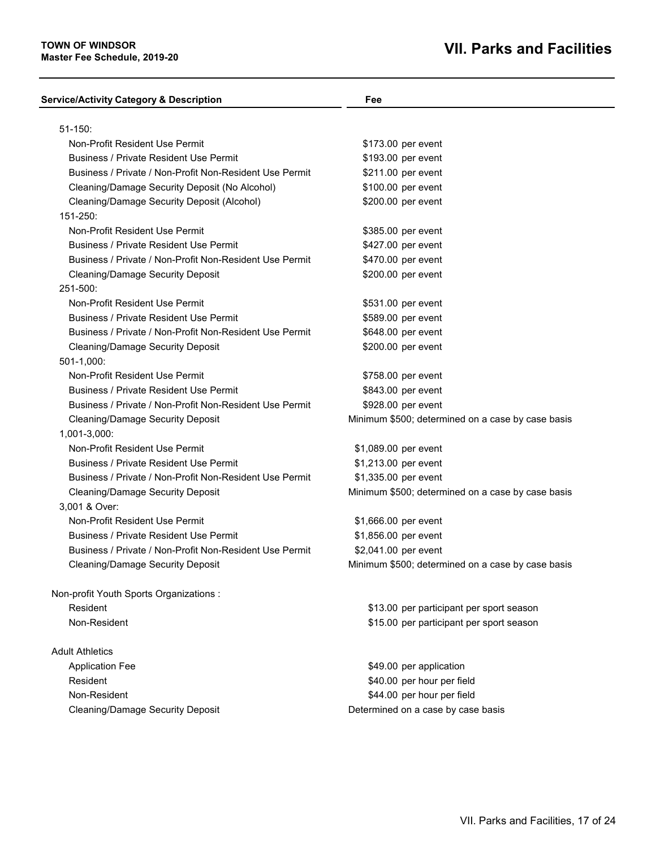| <b>Service/Activity Category &amp; Description</b>      | Fee                                               |
|---------------------------------------------------------|---------------------------------------------------|
| $51 - 150$ :                                            |                                                   |
| Non-Profit Resident Use Permit                          | \$173.00 per event                                |
| <b>Business / Private Resident Use Permit</b>           | \$193.00 per event                                |
| Business / Private / Non-Profit Non-Resident Use Permit | \$211.00 per event                                |
| Cleaning/Damage Security Deposit (No Alcohol)           | \$100.00 per event                                |
| Cleaning/Damage Security Deposit (Alcohol)              | \$200.00 per event                                |
| 151-250:                                                |                                                   |
| Non-Profit Resident Use Permit                          | \$385.00 per event                                |
| <b>Business / Private Resident Use Permit</b>           | \$427.00 per event                                |
| Business / Private / Non-Profit Non-Resident Use Permit | \$470.00 per event                                |
| Cleaning/Damage Security Deposit                        | \$200.00 per event                                |
| 251-500:                                                |                                                   |
| Non-Profit Resident Use Permit                          | \$531.00 per event                                |
| <b>Business / Private Resident Use Permit</b>           | \$589.00 per event                                |
| Business / Private / Non-Profit Non-Resident Use Permit | \$648.00 per event                                |
| Cleaning/Damage Security Deposit                        | \$200.00 per event                                |
| 501-1,000:                                              |                                                   |
| Non-Profit Resident Use Permit                          | \$758.00 per event                                |
| <b>Business / Private Resident Use Permit</b>           | \$843.00 per event                                |
| Business / Private / Non-Profit Non-Resident Use Permit | \$928.00 per event                                |
| <b>Cleaning/Damage Security Deposit</b>                 | Minimum \$500; determined on a case by case basis |
| 1,001-3,000:                                            |                                                   |
| Non-Profit Resident Use Permit                          | \$1,089.00 per event                              |
| <b>Business / Private Resident Use Permit</b>           | \$1,213.00 per event                              |
| Business / Private / Non-Profit Non-Resident Use Permit | \$1,335.00 per event                              |
| <b>Cleaning/Damage Security Deposit</b>                 | Minimum \$500; determined on a case by case basis |
| 3,001 & Over:                                           |                                                   |
| Non-Profit Resident Use Permit                          | \$1,666.00 per event                              |
| <b>Business / Private Resident Use Permit</b>           | \$1,856.00 per event                              |
| Business / Private / Non-Profit Non-Resident Use Permit | \$2,041.00 per event                              |
| Cleaning/Damage Security Deposit                        | Minimum \$500; determined on a case by case basis |
| Non-profit Youth Sports Organizations :                 |                                                   |
| Resident                                                | \$13.00 per participant per sport season          |
| Non-Resident                                            | \$15.00 per participant per sport season          |
| <b>Adult Athletics</b>                                  |                                                   |
| <b>Application Fee</b>                                  | \$49.00 per application                           |
| Resident                                                | \$40.00 per hour per field                        |
| Non-Resident                                            | \$44.00 per hour per field                        |
| <b>Cleaning/Damage Security Deposit</b>                 | Determined on a case by case basis                |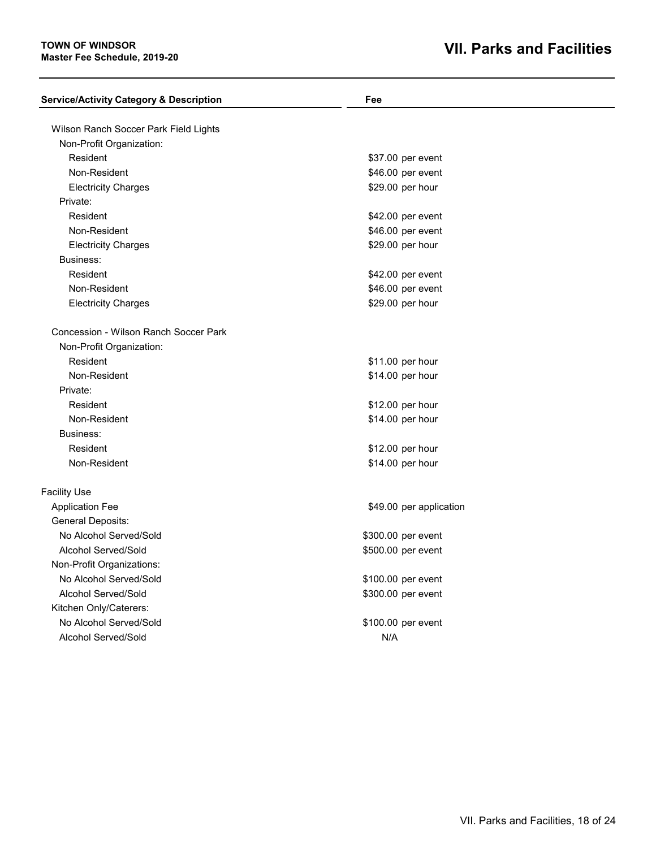| \$29.00 per hour        |                                                                                                                                                                                        |
|-------------------------|----------------------------------------------------------------------------------------------------------------------------------------------------------------------------------------|
|                         |                                                                                                                                                                                        |
|                         |                                                                                                                                                                                        |
| \$11.00 per hour        |                                                                                                                                                                                        |
| \$14.00 per hour        |                                                                                                                                                                                        |
|                         |                                                                                                                                                                                        |
|                         |                                                                                                                                                                                        |
| \$14.00 per hour        |                                                                                                                                                                                        |
|                         |                                                                                                                                                                                        |
| \$12.00 per hour        |                                                                                                                                                                                        |
| \$14.00 per hour        |                                                                                                                                                                                        |
|                         |                                                                                                                                                                                        |
| \$49.00 per application |                                                                                                                                                                                        |
|                         |                                                                                                                                                                                        |
| \$300.00 per event      |                                                                                                                                                                                        |
| \$500.00 per event      |                                                                                                                                                                                        |
|                         |                                                                                                                                                                                        |
| \$100.00 per event      |                                                                                                                                                                                        |
| \$300.00 per event      |                                                                                                                                                                                        |
|                         |                                                                                                                                                                                        |
| \$100.00 per event      |                                                                                                                                                                                        |
| N/A                     |                                                                                                                                                                                        |
|                         | \$37.00 per event<br>\$46.00 per event<br>\$29.00 per hour<br>\$42.00 per event<br>\$46.00 per event<br>\$29.00 per hour<br>\$42.00 per event<br>\$46.00 per event<br>\$12.00 per hour |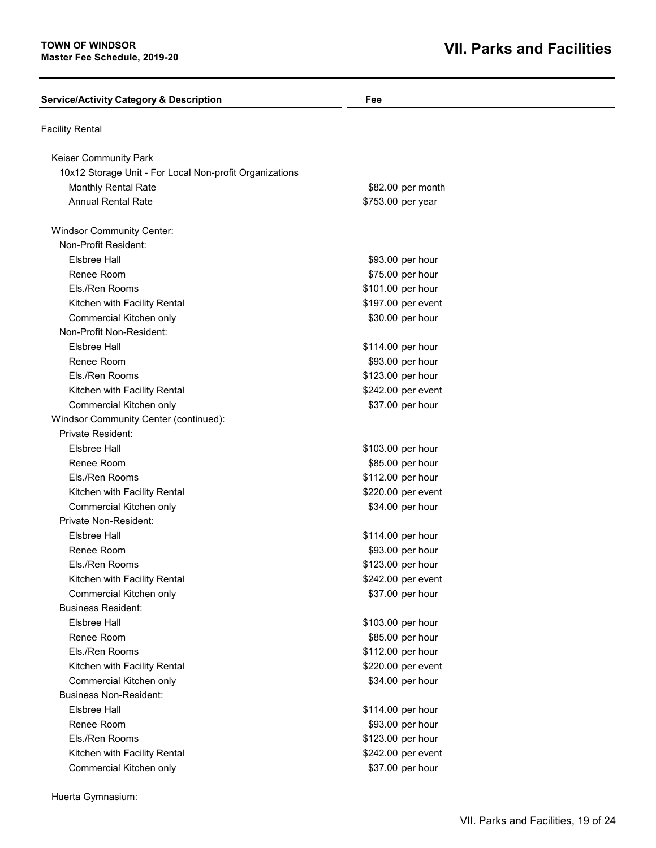| <b>Service/Activity Category &amp; Description</b>      | Fee                |  |
|---------------------------------------------------------|--------------------|--|
| <b>Facility Rental</b>                                  |                    |  |
| Keiser Community Park                                   |                    |  |
| 10x12 Storage Unit - For Local Non-profit Organizations |                    |  |
| Monthly Rental Rate                                     | \$82.00 per month  |  |
| <b>Annual Rental Rate</b>                               | \$753.00 per year  |  |
| <b>Windsor Community Center:</b>                        |                    |  |
| Non-Profit Resident:                                    |                    |  |
| <b>Elsbree Hall</b>                                     | \$93.00 per hour   |  |
| Renee Room                                              | \$75.00 per hour   |  |
| Els./Ren Rooms                                          | \$101.00 per hour  |  |
| Kitchen with Facility Rental                            | \$197.00 per event |  |
| Commercial Kitchen only                                 | \$30.00 per hour   |  |
| Non-Profit Non-Resident:                                |                    |  |
| Elsbree Hall                                            | \$114.00 per hour  |  |
| Renee Room                                              | \$93.00 per hour   |  |
| Els./Ren Rooms                                          | \$123.00 per hour  |  |
| Kitchen with Facility Rental                            | \$242.00 per event |  |
| Commercial Kitchen only                                 | \$37.00 per hour   |  |
| Windsor Community Center (continued):                   |                    |  |
| <b>Private Resident:</b>                                |                    |  |
| <b>Elsbree Hall</b>                                     | \$103.00 per hour  |  |
| Renee Room                                              | \$85.00 per hour   |  |
| Els./Ren Rooms                                          | \$112.00 per hour  |  |
| Kitchen with Facility Rental                            | \$220.00 per event |  |
| Commercial Kitchen only                                 | \$34.00 per hour   |  |
| Private Non-Resident:                                   |                    |  |
| <b>Elsbree Hall</b>                                     | \$114.00 per hour  |  |
| Renee Room                                              | \$93.00 per hour   |  |
| Els./Ren Rooms                                          | \$123.00 per hour  |  |
| Kitchen with Facility Rental                            | \$242.00 per event |  |
| Commercial Kitchen only                                 | \$37.00 per hour   |  |
| <b>Business Resident:</b>                               |                    |  |
| Elsbree Hall                                            | \$103.00 per hour  |  |
| Renee Room                                              | \$85.00 per hour   |  |
| Els./Ren Rooms                                          | \$112.00 per hour  |  |
| Kitchen with Facility Rental                            | \$220.00 per event |  |
| Commercial Kitchen only                                 | \$34.00 per hour   |  |
| <b>Business Non-Resident:</b>                           |                    |  |
| <b>Elsbree Hall</b>                                     | \$114.00 per hour  |  |
| Renee Room                                              | \$93.00 per hour   |  |
| Els./Ren Rooms                                          | \$123.00 per hour  |  |
| Kitchen with Facility Rental                            | \$242.00 per event |  |
| Commercial Kitchen only                                 | \$37.00 per hour   |  |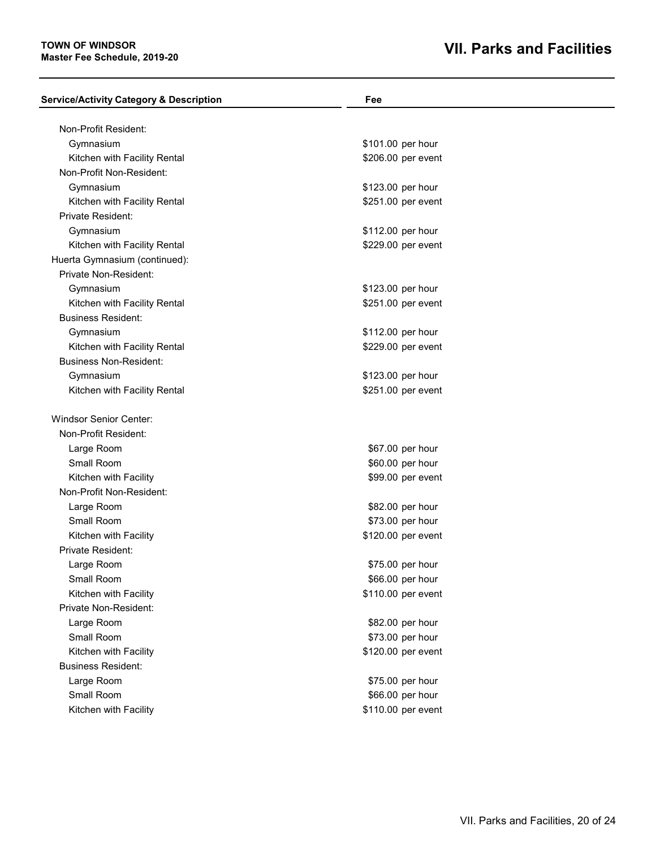### **TOWN OF WINDSOR Master Fee Schedule, 2019-20**

| <b>Service/Activity Category &amp; Description</b>       | Fee                |  |
|----------------------------------------------------------|--------------------|--|
|                                                          |                    |  |
| Non-Profit Resident:<br>Gymnasium                        | \$101.00 per hour  |  |
|                                                          |                    |  |
| Kitchen with Facility Rental<br>Non-Profit Non-Resident: | \$206.00 per event |  |
|                                                          |                    |  |
| Gymnasium                                                | \$123.00 per hour  |  |
| Kitchen with Facility Rental                             | \$251.00 per event |  |
| Private Resident:                                        |                    |  |
| Gymnasium                                                | \$112.00 per hour  |  |
| Kitchen with Facility Rental                             | \$229.00 per event |  |
| Huerta Gymnasium (continued):                            |                    |  |
| Private Non-Resident:                                    |                    |  |
| Gymnasium                                                | \$123.00 per hour  |  |
| Kitchen with Facility Rental                             | \$251.00 per event |  |
| <b>Business Resident:</b>                                |                    |  |
| Gymnasium                                                | \$112.00 per hour  |  |
| Kitchen with Facility Rental                             | \$229.00 per event |  |
| <b>Business Non-Resident:</b>                            |                    |  |
| Gymnasium                                                | \$123.00 per hour  |  |
| Kitchen with Facility Rental                             | \$251.00 per event |  |
| <b>Windsor Senior Center:</b>                            |                    |  |
| Non-Profit Resident:                                     |                    |  |
| Large Room                                               | \$67.00 per hour   |  |
| <b>Small Room</b>                                        | \$60.00 per hour   |  |
| Kitchen with Facility                                    | \$99.00 per event  |  |
| Non-Profit Non-Resident:                                 |                    |  |
| Large Room                                               | \$82.00 per hour   |  |
| Small Room                                               | \$73.00 per hour   |  |
| Kitchen with Facility                                    | \$120.00 per event |  |
| <b>Private Resident:</b>                                 |                    |  |
| Large Room                                               | \$75.00 per hour   |  |
| Small Room                                               | \$66.00 per hour   |  |
| Kitchen with Facility                                    | \$110.00 per event |  |
| Private Non-Resident:                                    |                    |  |
| Large Room                                               | \$82.00 per hour   |  |
| Small Room                                               | \$73.00 per hour   |  |
| Kitchen with Facility                                    | \$120.00 per event |  |
| <b>Business Resident:</b>                                |                    |  |
| Large Room                                               | \$75.00 per hour   |  |
| Small Room                                               | \$66.00 per hour   |  |
| Kitchen with Facility                                    | \$110.00 per event |  |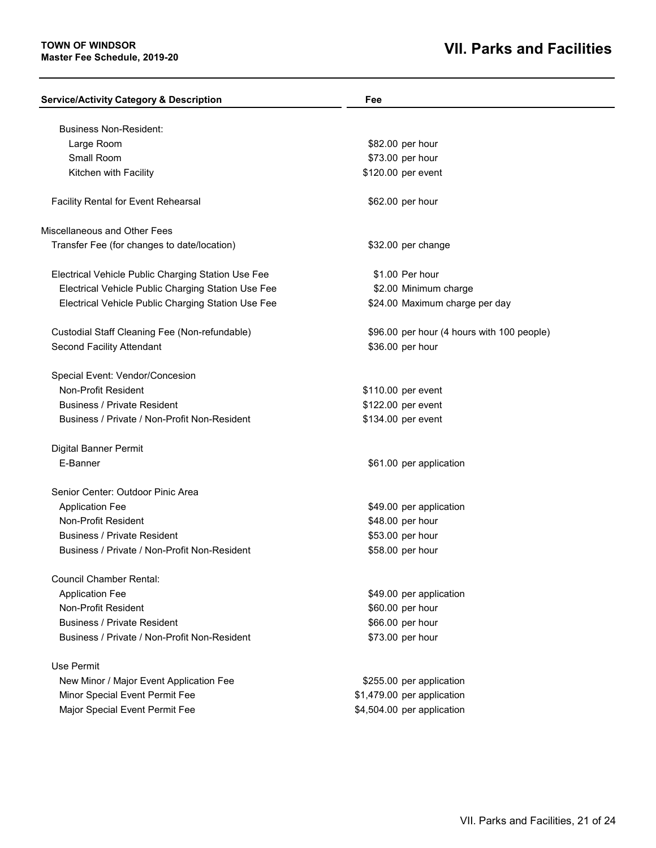| <b>Service/Activity Category &amp; Description</b> | Fee                                        |
|----------------------------------------------------|--------------------------------------------|
| <b>Business Non-Resident:</b>                      |                                            |
| Large Room                                         | \$82.00 per hour                           |
| Small Room                                         | \$73.00 per hour                           |
| Kitchen with Facility                              | \$120.00 per event                         |
|                                                    |                                            |
| Facility Rental for Event Rehearsal                | \$62.00 per hour                           |
| Miscellaneous and Other Fees                       |                                            |
| Transfer Fee (for changes to date/location)        | \$32.00 per change                         |
| Electrical Vehicle Public Charging Station Use Fee | \$1.00 Per hour                            |
| Electrical Vehicle Public Charging Station Use Fee | \$2.00 Minimum charge                      |
| Electrical Vehicle Public Charging Station Use Fee | \$24.00 Maximum charge per day             |
| Custodial Staff Cleaning Fee (Non-refundable)      | \$96.00 per hour (4 hours with 100 people) |
| Second Facility Attendant                          | \$36.00 per hour                           |
| Special Event: Vendor/Concesion                    |                                            |
| <b>Non-Profit Resident</b>                         | \$110.00 per event                         |
| <b>Business / Private Resident</b>                 | \$122.00 per event                         |
| Business / Private / Non-Profit Non-Resident       | \$134.00 per event                         |
| Digital Banner Permit                              |                                            |
| E-Banner                                           | \$61.00 per application                    |
| Senior Center: Outdoor Pinic Area                  |                                            |
| <b>Application Fee</b>                             | \$49.00 per application                    |
| Non-Profit Resident                                | \$48.00 per hour                           |
| <b>Business / Private Resident</b>                 | \$53.00 per hour                           |
| Business / Private / Non-Profit Non-Resident       | \$58.00 per hour                           |
| <b>Council Chamber Rental:</b>                     |                                            |
| <b>Application Fee</b>                             | \$49.00 per application                    |
| Non-Profit Resident                                | \$60.00 per hour                           |
| <b>Business / Private Resident</b>                 | \$66.00 per hour                           |
| Business / Private / Non-Profit Non-Resident       | \$73.00 per hour                           |
| Use Permit                                         |                                            |
| New Minor / Major Event Application Fee            | \$255.00 per application                   |
| Minor Special Event Permit Fee                     | \$1,479.00 per application                 |
| Major Special Event Permit Fee                     | \$4,504.00 per application                 |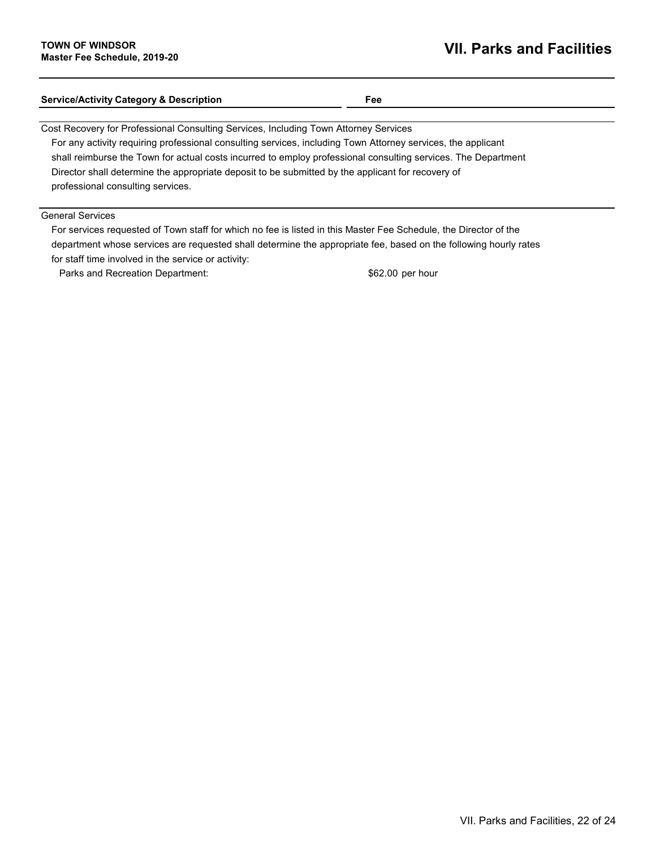| <b>Service/Activity Category &amp; Description</b>                                                            | Fee |
|---------------------------------------------------------------------------------------------------------------|-----|
| Cost Recovery for Professional Consulting Services, Including Town Attorney Services                          |     |
| For any activity requiring professional consulting services, including Town Attorney services, the applicant  |     |
| shall reimburse the Town for actual costs incurred to employ professional consulting services. The Department |     |

Director shall determine the appropriate deposit to be submitted by the applicant for recovery of professional consulting services.

### General Services

For services requested of Town staff for which no fee is listed in this Master Fee Schedule, the Director of the department whose services are requested shall determine the appropriate fee, based on the following hourly rates for staff time involved in the service or activity:

Parks and Recreation Department:  $$62.00$  per hour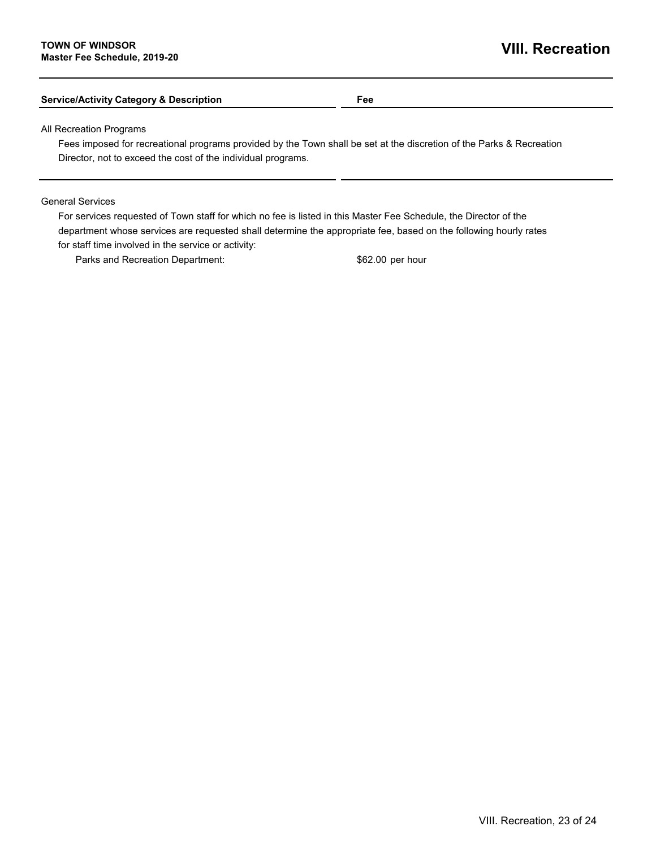### **Service/Activity Category & Description Fee**

All Recreation Programs

Fees imposed for recreational programs provided by the Town shall be set at the discretion of the Parks & Recreation Director, not to exceed the cost of the individual programs.

#### General Services

For services requested of Town staff for which no fee is listed in this Master Fee Schedule, the Director of the department whose services are requested shall determine the appropriate fee, based on the following hourly rates for staff time involved in the service or activity:

Parks and Recreation Department:  $$62.00$  per hour